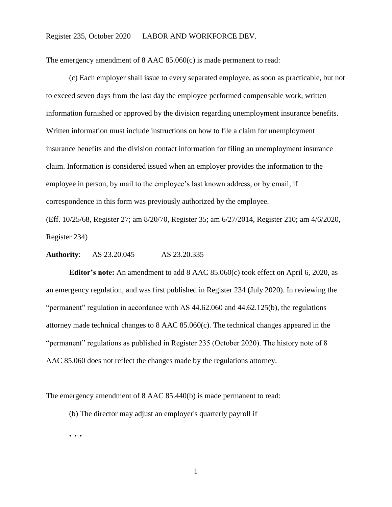## Register 235, October 2020 LABOR AND WORKFORCE DEV.

The emergency amendment of 8 AAC 85.060(c) is made permanent to read:

(c) Each employer shall issue to every separated employee, as soon as practicable, but not to exceed seven days from the last day the employee performed compensable work, written information furnished or approved by the division regarding unemployment insurance benefits. Written information must include instructions on how to file a claim for unemployment insurance benefits and the division contact information for filing an unemployment insurance claim. Information is considered issued when an employer provides the information to the employee in person, by mail to the employee's last known address, or by email, if correspondence in this form was previously authorized by the employee.

(Eff. 10/25/68, Register 27; am 8/20/70, Register 35; am 6/27/2014, Register 210; am 4/6/2020, Register 234)

**Authority**: AS 23.20.045 AS 23.20.335

**Editor's note:** An amendment to add 8 AAC 85.060(c) took effect on April 6, 2020, as an emergency regulation, and was first published in Register 234 (July 2020). In reviewing the "permanent" regulation in accordance with AS 44.62.060 and 44.62.125(b), the regulations attorney made technical changes to 8 AAC 85.060(c). The technical changes appeared in the "permanent" regulations as published in Register 235 (October 2020). The history note of 8 AAC 85.060 does not reflect the changes made by the regulations attorney.

The emergency amendment of 8 AAC 85.440(b) is made permanent to read:

(b) The director may adjust an employer's quarterly payroll if

**. . .**

1